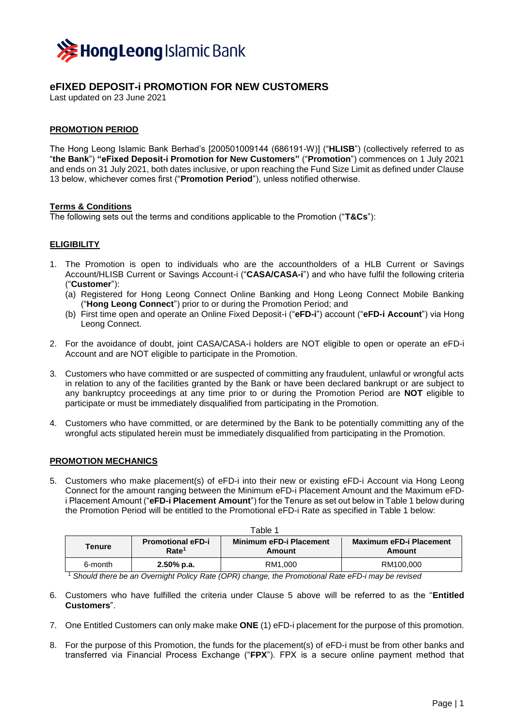

# **eFIXED DEPOSIT-i PROMOTION FOR NEW CUSTOMERS**

Last updated on 23 June 2021

## **PROMOTION PERIOD**

The Hong Leong Islamic Bank Berhad's [200501009144 (686191-W)] ("**HLISB**") (collectively referred to as "**the Bank**") **"eFixed Deposit-i Promotion for New Customers"** ("**Promotion**") commences on 1 July 2021 and ends on 31 July 2021, both dates inclusive, or upon reaching the Fund Size Limit as defined under Clause 13 below, whichever comes first ("**Promotion Period**"), unless notified otherwise.

### **Terms & Conditions**

The following sets out the terms and conditions applicable to the Promotion ("**T&Cs**"):

## **ELIGIBILITY**

- 1. The Promotion is open to individuals who are the accountholders of a HLB Current or Savings Account/HLISB Current or Savings Account-i ("**CASA/CASA-i**") and who have fulfil the following criteria ("**Customer**"):
	- (a) Registered for Hong Leong Connect Online Banking and Hong Leong Connect Mobile Banking ("**Hong Leong Connect**") prior to or during the Promotion Period; and
	- (b) First time open and operate an Online Fixed Deposit-i ("**eFD-i**") account ("**eFD-i Account**") via Hong Leong Connect.
- 2. For the avoidance of doubt, joint CASA/CASA-i holders are NOT eligible to open or operate an eFD-i Account and are NOT eligible to participate in the Promotion.
- 3. Customers who have committed or are suspected of committing any fraudulent, unlawful or wrongful acts in relation to any of the facilities granted by the Bank or have been declared bankrupt or are subject to any bankruptcy proceedings at any time prior to or during the Promotion Period are **NOT** eligible to participate or must be immediately disqualified from participating in the Promotion.
- 4. Customers who have committed, or are determined by the Bank to be potentially committing any of the wrongful acts stipulated herein must be immediately disqualified from participating in the Promotion.

### **PROMOTION MECHANICS**

5. Customers who make placement(s) of eFD-i into their new or existing eFD-i Account via Hong Leong Connect for the amount ranging between the Minimum eFD-i Placement Amount and the Maximum eFDi Placement Amount ("**eFD-i Placement Amount**") for the Tenure as set out below in Table 1 below during the Promotion Period will be entitled to the Promotional eFD-i Rate as specified in Table 1 below:

| Table 1               |                                               |                                          |                                          |
|-----------------------|-----------------------------------------------|------------------------------------------|------------------------------------------|
| <b>Tenure</b>         | <b>Promotional eFD-i</b><br>Rate <sup>1</sup> | <b>Minimum eFD-i Placement</b><br>Amount | <b>Maximum eFD-i Placement</b><br>Amount |
| 6-month<br>- - -<br>. | $2.50\%$ p.a.                                 | RM1.000<br>$\cdot$ $  \cdot$             | RM100.000<br>___                         |

<sup>1</sup> *Should there be an Overnight Policy Rate (OPR) change, the Promotional Rate eFD-i may be revised*

- 6. Customers who have fulfilled the criteria under Clause 5 above will be referred to as the "**Entitled Customers**".
- 7. One Entitled Customers can only make make **ONE** (1) eFD-i placement for the purpose of this promotion.
- 8. For the purpose of this Promotion, the funds for the placement(s) of eFD-i must be from other banks and transferred via Financial Process Exchange ("**FPX**"). FPX is a secure online payment method that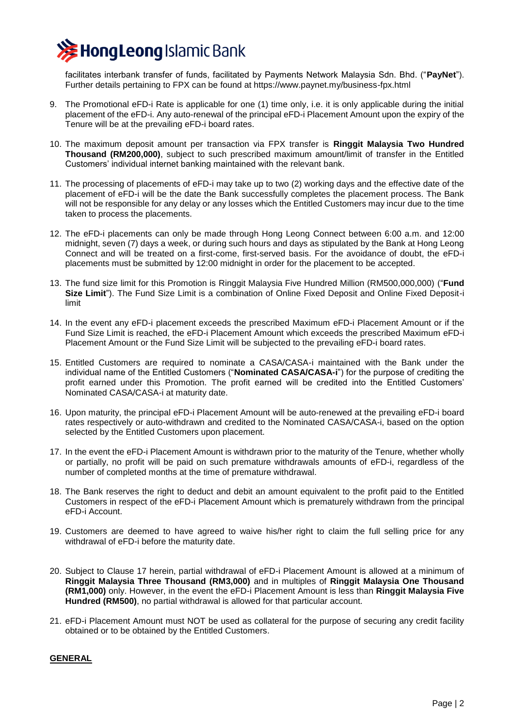

facilitates interbank transfer of funds, facilitated by Payments Network Malaysia Sdn. Bhd. ("**PayNet**"). Further details pertaining to FPX can be found at https://www.paynet.my/business-fpx.html

- 9. The Promotional eFD-i Rate is applicable for one (1) time only, i.e. it is only applicable during the initial placement of the eFD-i. Any auto-renewal of the principal eFD-i Placement Amount upon the expiry of the Tenure will be at the prevailing eFD-i board rates.
- 10. The maximum deposit amount per transaction via FPX transfer is **Ringgit Malaysia Two Hundred Thousand (RM200,000)**, subject to such prescribed maximum amount/limit of transfer in the Entitled Customers' individual internet banking maintained with the relevant bank.
- 11. The processing of placements of eFD-i may take up to two (2) working days and the effective date of the placement of eFD-i will be the date the Bank successfully completes the placement process. The Bank will not be responsible for any delay or any losses which the Entitled Customers may incur due to the time taken to process the placements.
- 12. The eFD-i placements can only be made through Hong Leong Connect between 6:00 a.m. and 12:00 midnight, seven (7) days a week, or during such hours and days as stipulated by the Bank at Hong Leong Connect and will be treated on a first-come, first-served basis. For the avoidance of doubt, the eFD-i placements must be submitted by 12:00 midnight in order for the placement to be accepted.
- 13. The fund size limit for this Promotion is Ringgit Malaysia Five Hundred Million (RM500,000,000) ("**Fund Size Limit**"). The Fund Size Limit is a combination of Online Fixed Deposit and Online Fixed Deposit-i limit
- 14. In the event any eFD-i placement exceeds the prescribed Maximum eFD-i Placement Amount or if the Fund Size Limit is reached, the eFD-i Placement Amount which exceeds the prescribed Maximum eFD-i Placement Amount or the Fund Size Limit will be subjected to the prevailing eFD-i board rates.
- 15. Entitled Customers are required to nominate a CASA/CASA-i maintained with the Bank under the individual name of the Entitled Customers ("**Nominated CASA/CASA-i**") for the purpose of crediting the profit earned under this Promotion. The profit earned will be credited into the Entitled Customers' Nominated CASA/CASA-i at maturity date.
- 16. Upon maturity, the principal eFD-i Placement Amount will be auto-renewed at the prevailing eFD-i board rates respectively or auto-withdrawn and credited to the Nominated CASA/CASA-i, based on the option selected by the Entitled Customers upon placement.
- 17. In the event the eFD-i Placement Amount is withdrawn prior to the maturity of the Tenure, whether wholly or partially, no profit will be paid on such premature withdrawals amounts of eFD-i, regardless of the number of completed months at the time of premature withdrawal.
- 18. The Bank reserves the right to deduct and debit an amount equivalent to the profit paid to the Entitled Customers in respect of the eFD-i Placement Amount which is prematurely withdrawn from the principal eFD-i Account.
- 19. Customers are deemed to have agreed to waive his/her right to claim the full selling price for any withdrawal of eFD-i before the maturity date.
- 20. Subject to Clause 17 herein, partial withdrawal of eFD-i Placement Amount is allowed at a minimum of **Ringgit Malaysia Three Thousand (RM3,000)** and in multiples of **Ringgit Malaysia One Thousand (RM1,000)** only. However, in the event the eFD-i Placement Amount is less than **Ringgit Malaysia Five Hundred (RM500)**, no partial withdrawal is allowed for that particular account.
- 21. eFD-i Placement Amount must NOT be used as collateral for the purpose of securing any credit facility obtained or to be obtained by the Entitled Customers.

### **GENERAL**